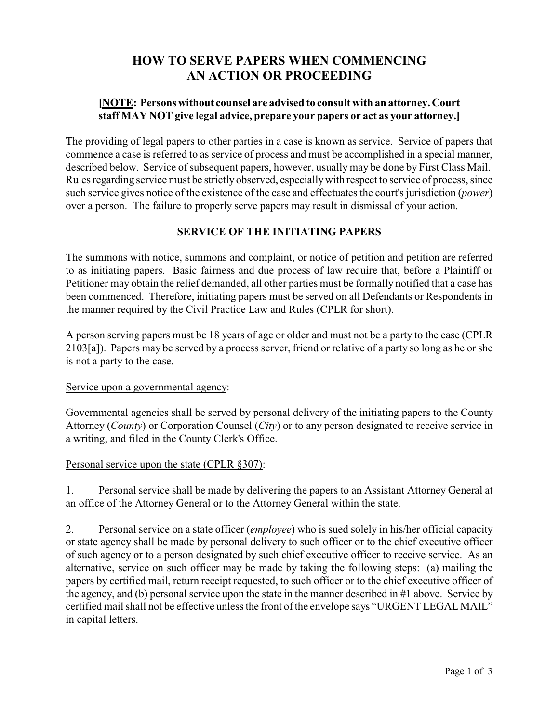# **HOW TO SERVE PAPERS WHEN COMMENCING AN ACTION OR PROCEEDING**

## **[NOTE: Persons without counsel are advised to consult with an attorney. Court staff MAY NOT give legal advice, prepare your papers or act as your attorney.]**

The providing of legal papers to other parties in a case is known as service. Service of papers that commence a case is referred to as service of process and must be accomplished in a special manner, described below. Service of subsequent papers, however, usually may be done by First Class Mail. Rules regarding service must be strictly observed, especiallywith respect to service of process, since such service gives notice of the existence of the case and effectuates the court's jurisdiction (*power*) over a person. The failure to properly serve papers may result in dismissal of your action.

## **SERVICE OF THE INITIATING PAPERS**

The summons with notice, summons and complaint, or notice of petition and petition are referred to as initiating papers. Basic fairness and due process of law require that, before a Plaintiff or Petitioner may obtain the relief demanded, all other parties must be formally notified that a case has been commenced. Therefore, initiating papers must be served on all Defendants or Respondents in the manner required by the Civil Practice Law and Rules (CPLR for short).

A person serving papers must be 18 years of age or older and must not be a party to the case (CPLR 2103[a]). Papers may be served by a process server, friend or relative of a party so long as he or she is not a party to the case.

## Service upon a governmental agency:

Governmental agencies shall be served by personal delivery of the initiating papers to the County Attorney (*County*) or Corporation Counsel (*City*) or to any person designated to receive service in a writing, and filed in the County Clerk's Office.

## Personal service upon the state (CPLR §307):

1. Personal service shall be made by delivering the papers to an Assistant Attorney General at an office of the Attorney General or to the Attorney General within the state.

2. Personal service on a state officer (*employee*) who is sued solely in his/her official capacity or state agency shall be made by personal delivery to such officer or to the chief executive officer of such agency or to a person designated by such chief executive officer to receive service. As an alternative, service on such officer may be made by taking the following steps: (a) mailing the papers by certified mail, return receipt requested, to such officer or to the chief executive officer of the agency, and (b) personal service upon the state in the manner described in #1 above. Service by certified mail shall not be effective unless the front of the envelope says "URGENT LEGAL MAIL" in capital letters.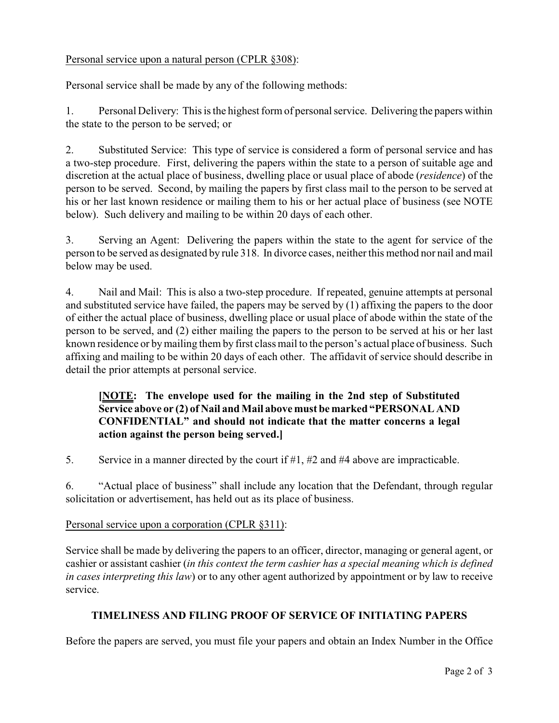## Personal service upon a natural person (CPLR §308):

Personal service shall be made by any of the following methods:

1. Personal Delivery: This is the highest form of personal service. Delivering the papers within the state to the person to be served; or

2. Substituted Service: This type of service is considered a form of personal service and has a two-step procedure. First, delivering the papers within the state to a person of suitable age and discretion at the actual place of business, dwelling place or usual place of abode (*residence*) of the person to be served. Second, by mailing the papers by first class mail to the person to be served at his or her last known residence or mailing them to his or her actual place of business (see NOTE below). Such delivery and mailing to be within 20 days of each other.

3. Serving an Agent: Delivering the papers within the state to the agent for service of the person to be served as designated by rule 318. In divorce cases, neither this method nor nail and mail below may be used.

4. Nail and Mail: This is also a two-step procedure. If repeated, genuine attempts at personal and substituted service have failed, the papers may be served by (1) affixing the papers to the door of either the actual place of business, dwelling place or usual place of abode within the state of the person to be served, and (2) either mailing the papers to the person to be served at his or her last known residence or by mailing them by first class mail to the person's actual place of business. Such affixing and mailing to be within 20 days of each other. The affidavit of service should describe in detail the prior attempts at personal service.

## **[NOTE: The envelope used for the mailing in the 2nd step of Substituted Service above or (2) of Nail and Mail above must be marked "PERSONAL AND CONFIDENTIAL" and should not indicate that the matter concerns a legal action against the person being served.]**

5. Service in a manner directed by the court if #1, #2 and #4 above are impracticable.

6. "Actual place of business" shall include any location that the Defendant, through regular solicitation or advertisement, has held out as its place of business.

## Personal service upon a corporation (CPLR §311):

Service shall be made by delivering the papers to an officer, director, managing or general agent, or cashier or assistant cashier (*in this context the term cashier has a special meaning which is defined in cases interpreting this law*) or to any other agent authorized by appointment or by law to receive service.

## **TIMELINESS AND FILING PROOF OF SERVICE OF INITIATING PAPERS**

Before the papers are served, you must file your papers and obtain an Index Number in the Office